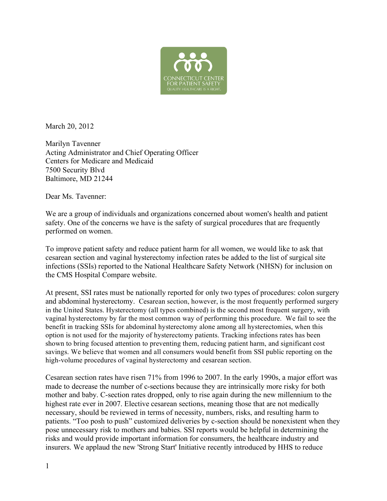

March 20, 2012

Marilyn Tavenner Acting Administrator and Chief Operating Officer Centers for Medicare and Medicaid 7500 Security Blvd Baltimore, MD 21244

Dear Ms. Tavenner:

We are a group of individuals and organizations concerned about women's health and patient safety. One of the concerns we have is the safety of surgical procedures that are frequently performed on women.

To improve patient safety and reduce patient harm for all women, we would like to ask that cesarean section and vaginal hysterectomy infection rates be added to the list of surgical site infections (SSIs) reported to the National Healthcare Safety Network (NHSN) for inclusion on the CMS Hospital Compare website.

At present, SSI rates must be nationally reported for only two types of procedures: colon surgery and abdominal hysterectomy. Cesarean section, however, is the most frequently performed surgery in the United States. Hysterectomy (all types combined) is the second most frequent surgery, with vaginal hysterectomy by far the most common way of performing this procedure. We fail to see the benefit in tracking SSIs for abdominal hysterectomy alone among all hysterectomies, when this option is not used for the majority of hysterectomy patients. Tracking infections rates has been shown to bring focused attention to preventing them, reducing patient harm, and significant cost savings. We believe that women and all consumers would benefit from SSI public reporting on the high-volume procedures of vaginal hysterectomy and cesarean section.

Cesarean section rates have risen 71% from 1996 to 2007. In the early 1990s, a major effort was made to decrease the number of c-sections because they are intrinsically more risky for both mother and baby. C-section rates dropped, only to rise again during the new millennium to the highest rate ever in 2007. Elective cesarean sections, meaning those that are not medically necessary, should be reviewed in terms of necessity, numbers, risks, and resulting harm to patients. "Too posh to push" customized deliveries by c-section should be nonexistent when they pose unnecessary risk to mothers and babies. SSI reports would be helpful in determining the risks and would provide important information for consumers, the healthcare industry and insurers. We applaud the new 'Strong Start' Initiative recently introduced by HHS to reduce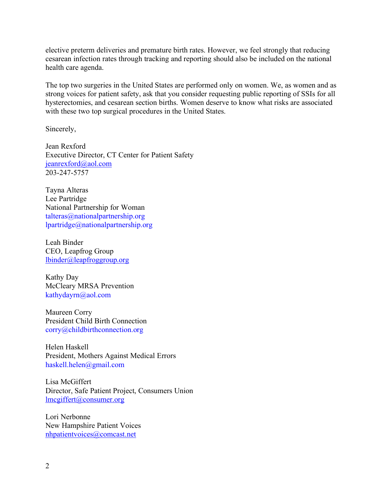elective preterm deliveries and premature birth rates. However, we feel strongly that reducing cesarean infection rates through tracking and reporting should also be included on the national health care agenda.

The top two surgeries in the United States are performed only on women. We, as women and as strong voices for patient safety, ask that you consider requesting public reporting of SSIs for all hysterectomies, and cesarean section births. Women deserve to know what risks are associated with these two top surgical procedures in the United States.

Sincerely,

Jean Rexford Executive Director, CT Center for Patient Safety jeanrexford@aol.com 203-247-5757

Tayna Alteras Lee Partridge National Partnership for Woman talteras@nationalpartnership.org lpartridge@nationalpartnership.org

Leah Binder CEO, Leapfrog Group lbinder@leapfroggroup.org

Kathy Day McCleary MRSA Prevention kathydayrn@aol.com

Maureen Corry President Child Birth Connection corry@childbirthconnection.org

Helen Haskell President, Mothers Against Medical Errors haskell.helen@gmail.com

Lisa McGiffert Director, Safe Patient Project, Consumers Union lmcgiffert@consumer.org

Lori Nerbonne New Hampshire Patient Voices nhpatientvoices@comcast.net